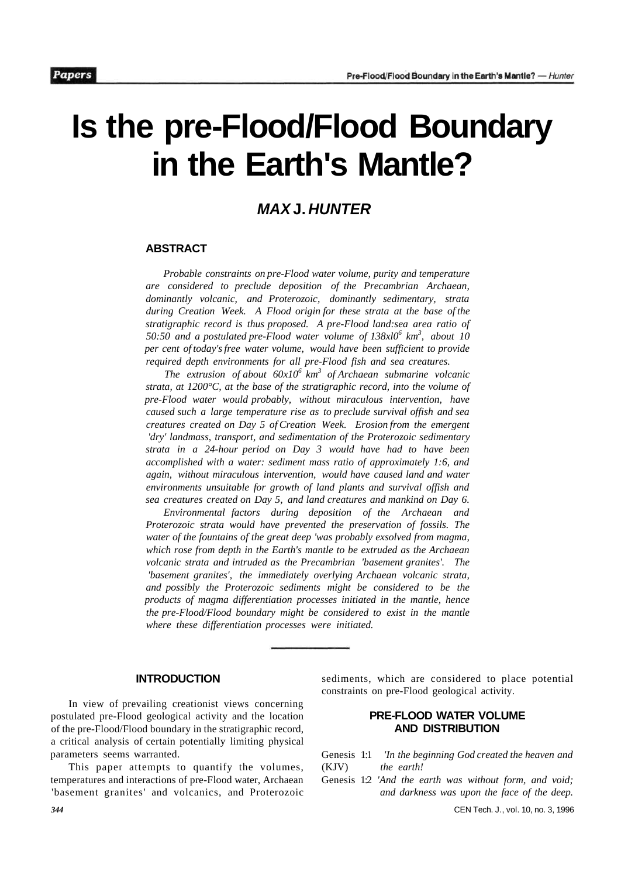# **Is the pre-Flood/Flood Boundary in the Earth's Mantle?**

## **MAX J. HUNTER**

#### **ABSTRACT**

*Probable constraints on pre-Flood water volume, purity and temperature are considered to preclude deposition of the Precambrian Archaean, dominantly volcanic, and Proterozoic, dominantly sedimentary, strata during Creation Week. A Flood origin for these strata at the base of the stratigraphic record is thus proposed. A pre-Flood land:sea area ratio of 50:50 and a postulated pre-Flood water volume of 138xl0<sup>6</sup> km<sup>3</sup> , about 10 per cent of today's free water volume, would have been sufficient to provide required depth environments for all pre-Flood fish and sea creatures.* 

*The extrusion of about 60x10<sup>6</sup> km<sup>3</sup> of Archaean submarine volcanic strata, at 1200°C, at the base of the stratigraphic record, into the volume of pre-Flood water would probably, without miraculous intervention, have caused such a large temperature rise as to preclude survival offish and sea creatures created on Day 5 of Creation Week. Erosion from the emergent 'dry' landmass, transport, and sedimentation of the Proterozoic sedimentary strata in a 24-hour period on Day 3 would have had to have been accomplished with a water: sediment mass ratio of approximately 1:6, and again, without miraculous intervention, would have caused land and water environments unsuitable for growth of land plants and survival offish and sea creatures created on Day 5, and land creatures and mankind on Day 6.* 

*Environmental factors during deposition of the Archaean and Proterozoic strata would have prevented the preservation of fossils. The water of the fountains of the great deep 'was probably exsolved from magma, which rose from depth in the Earth's mantle to be extruded as the Archaean volcanic strata and intruded as the Precambrian 'basement granites'. The 'basement granites', the immediately overlying Archaean volcanic strata, and possibly the Proterozoic sediments might be considered to be the products of magma differentiation processes initiated in the mantle, hence the pre-Flood/Flood boundary might be considered to exist in the mantle where these differentiation processes were initiated.* 

#### **INTRODUCTION**

In view of prevailing creationist views concerning postulated pre-Flood geological activity and the location of the pre-Flood/Flood boundary in the stratigraphic record, a critical analysis of certain potentially limiting physical parameters seems warranted.

This paper attempts to quantify the volumes, temperatures and interactions of pre-Flood water, Archaean 'basement granites' and volcanics, and Proterozoic sediments, which are considered to place potential constraints on pre-Flood geological activity.

## **PRE-FLOOD WATER VOLUME AND DISTRIBUTION**

- Genesis 1:1 *'In the beginning God created the heaven and*  (KJV) *the earth!*
- Genesis 1:2 *'And the earth was without form, and void; and darkness was upon the face of the deep.*

*344* CEN Tech. J., vol. 10, no. 3, 1996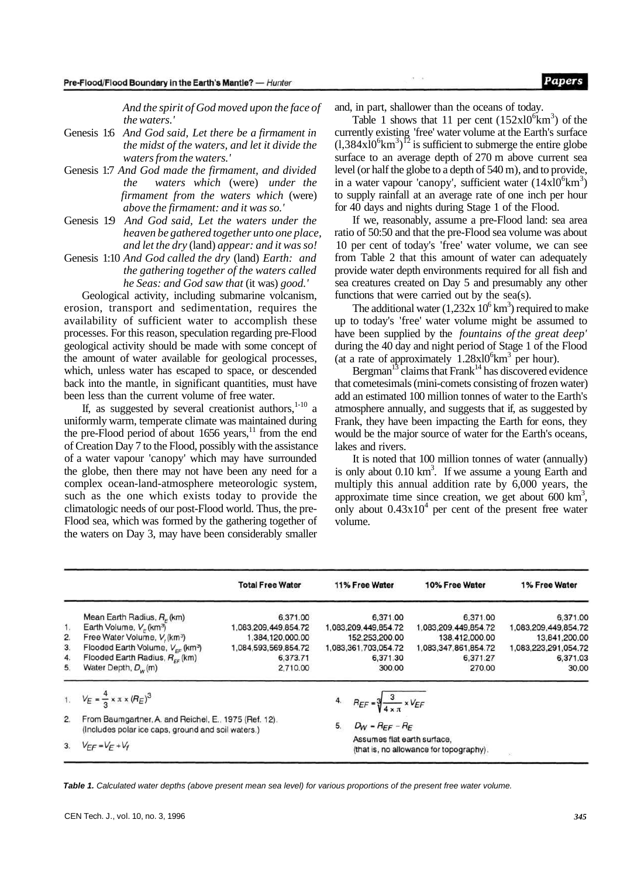*And the spirit of God moved upon the face of the waters.'* 

- Genesis 1:6 *And God said, Let there be a firmament in the midst of the waters, and let it divide the waters from the waters.'*
- Genesis 1:7 *And God made the firmament, and divided the waters which* (were) *under the firmament from the waters which* (were) *above the firmament: and it was so.'*
- Genesis 1:9 *And God said, Let the waters under the heaven be gathered together unto one place, and let the dry* (land) *appear: and it was so!*
- Genesis 1:10 *And God called the dry* (land) *Earth: and the gathering together of the waters called he Seas: and God saw that* (it was) *good.'*

Geological activity, including submarine volcanism, erosion, transport and sedimentation, requires the availability of sufficient water to accomplish these processes. For this reason, speculation regarding pre-Flood geological activity should be made with some concept of the amount of water available for geological processes, which, unless water has escaped to space, or descended back into the mantle, in significant quantities, must have been less than the current volume of free water.

If, as suggested by several creationist authors,  $1-10$  a uniformly warm, temperate climate was maintained during the pre-Flood period of about  $1656$  years,<sup>11</sup> from the end of Creation Day 7 to the Flood, possibly with the assistance of a water vapour 'canopy' which may have surrounded the globe, then there may not have been any need for a complex ocean-land-atmosphere meteorologic system, such as the one which exists today to provide the climatologic needs of our post-Flood world. Thus, the pre-Flood sea, which was formed by the gathering together of the waters on Day 3, may have been considerably smaller

and, in part, shallower than the oceans of today.

Table 1 shows that 11 per cent  $(152 \times 10^6 \text{km}^3)$  of the currently existing 'free' water volume at the Earth's surface  $(1,384 \times 10^{6} \text{km}^3)^{12}$  is sufficient to submerge the entire globe surface to an average depth of 270 m above current sea level (or half the globe to a depth of 540 m), and to provide, in a water vapour 'canopy', sufficient water  $(14x10^6 \text{km}^3)$ to supply rainfall at an average rate of one inch per hour for 40 days and nights during Stage 1 of the Flood.

If we, reasonably, assume a pre-Flood land: sea area ratio of 50:50 and that the pre-Flood sea volume was about 10 per cent of today's 'free' water volume, we can see from Table 2 that this amount of water can adequately provide water depth environments required for all fish and sea creatures created on Day 5 and presumably any other functions that were carried out by the sea(s).

The additional water  $(1,232x\ 10^6\,\mathrm{km}^3)$  required to make up to today's 'free' water volume might be assumed to have been supplied by the *fountains of the great deep'*  during the 40 day and night period of Stage 1 of the Flood (at a rate of approximately  $1.28 \times 10^6$  km<sup>3</sup> per hour).

Bergman<sup>13</sup> claims that Frank<sup>14</sup> has discovered evidence that cometesimals (mini-comets consisting of frozen water) add an estimated 100 million tonnes of water to the Earth's atmosphere annually, and suggests that if, as suggested by Frank, they have been impacting the Earth for eons, they would be the major source of water for the Earth's oceans, lakes and rivers.

It is noted that 100 million tonnes of water (annually) is only about  $0.10 \text{ km}^3$ . If we assume a young Earth and multiply this annual addition rate by 6,000 years, the approximate time since creation, we get about  $600 \text{ km}^3$ , only about  $0.43x10<sup>4</sup>$  per cent of the present free water volume.

|    |                                                                                                             | <b>Total Free Water</b> | 11% Free Water                                                         | 10% Free Water       | 1% Free Water        |
|----|-------------------------------------------------------------------------------------------------------------|-------------------------|------------------------------------------------------------------------|----------------------|----------------------|
|    | Mean Earth Radius, $R_{\rm r}$ (km)                                                                         | 6,371.00                | 6,371.00                                                               | 6,371.00             | 6.371.00             |
| 1. | Earth Volume, $V_F$ (km <sup>3</sup> )                                                                      | 1,083,209,449,854.72    | 1,083,209,449,854.72                                                   | 1,083,209,449,854.72 | 1,083,209,449,854.72 |
| 2. | Free Water Volume, V, (km <sup>3</sup> )                                                                    | 1,384,120,000.00        | 152,253,200.00                                                         | 138,412,000.00       | 13,841,200.00        |
| 3. | Flooded Earth Volume, V <sub>FF</sub> (km <sup>3</sup> )                                                    | 1,084,593,569,854.72    | 1,083,361,703,054.72                                                   | 1,083,347,861,854.72 | 1,083,223,291,054.72 |
| 4. | Flooded Earth Radius, $R_{ee}$ (km)                                                                         | 6,373.71                | 6,371.30                                                               | 6,371.27             | 6,371.03             |
| 5. | Water Depth, $D_w(m)$                                                                                       | 2,710.00                | 300.00                                                                 | 270.00               | 30.00                |
|    | 1. $V_E = \frac{4}{3} \times \pi \times (R_E)^3$                                                            |                         | 4. $R_{EF} = \sqrt[3]{\frac{3}{4 \times \pi} \times V_{EF}}$           |                      |                      |
| 2. | From Baumgartner, A. and Reichel, E., 1975 (Ref. 12).<br>(Includes polar ice caps, ground and soil waters.) |                         | $D_W = R_{EF} - R_E$<br>5.                                             |                      |                      |
| 3. | $V_{FF} = V_F + V_f$                                                                                        |                         | Assumes flat earth surface,<br>(that is, no allowance for topography). | ¥.                   |                      |

**Table 1.** Calculated water depths (above present mean sea level) for various proportions of the present free water volume.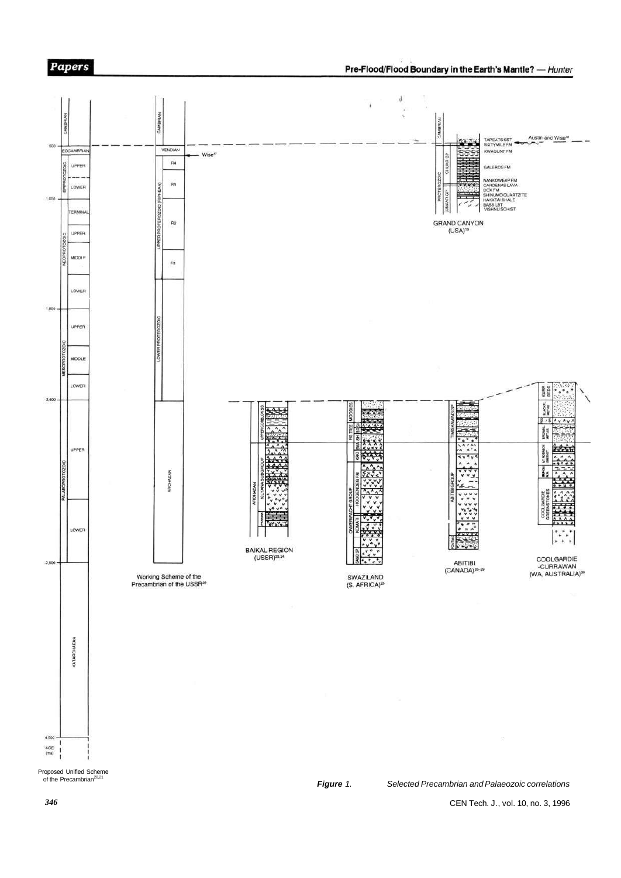



*346* 

**Papers**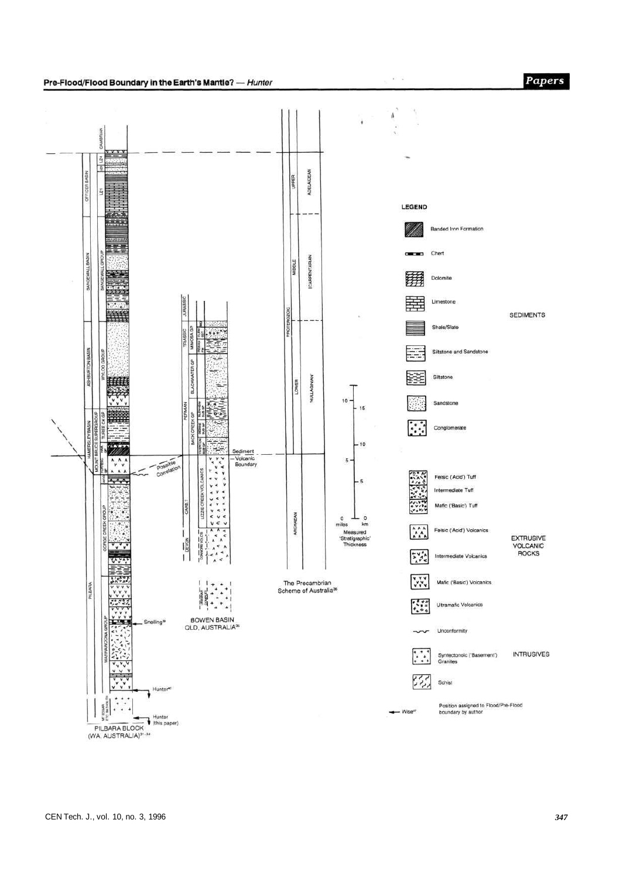

 $30 - 50$ 

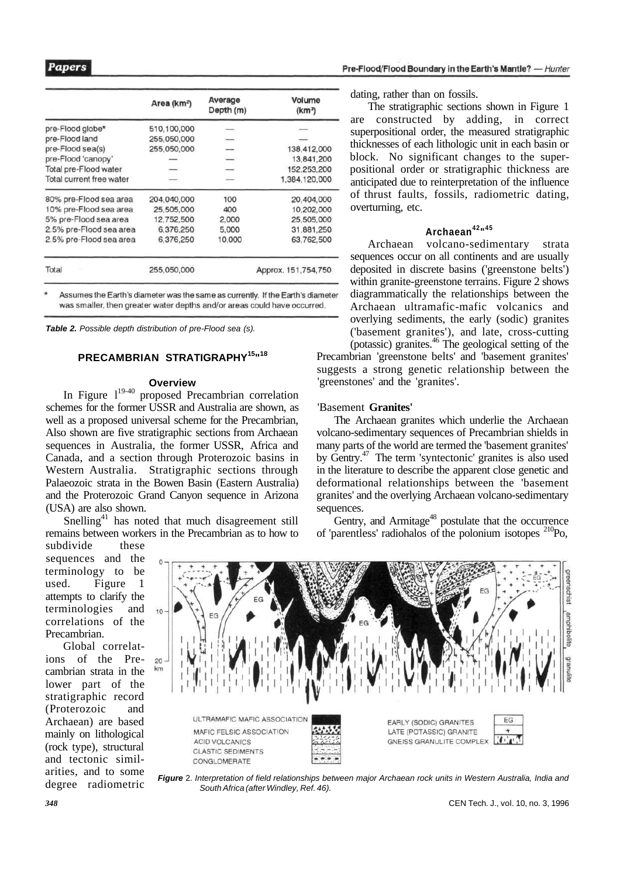|                          | Area (km <sup>2</sup> ) | Average<br>Depth (m) | Volume<br>(km <sup>3</sup> ) |
|--------------------------|-------------------------|----------------------|------------------------------|
| pre-Flood globe*         | 510,100,000             |                      |                              |
| pre-Flood land           | 255,050,000             | -                    |                              |
| pre-Flood sea(s)         | 255,050,000             | —                    | 138,412,000                  |
| pre-Flood 'canopy'       |                         | $\qquad \qquad$      | 13,841,200                   |
| Total pre-Flood water    |                         |                      | 152,253,200                  |
| Total current free water |                         |                      | 1,384,120,000                |
| 80% pre-Flood sea area   | 204.040.000             | 100                  | 20,404,000                   |
| 10% pre-Flood sea area   | 25,505,000              | 400                  | 10,202,000                   |
| 5% pre-Flood sea area    | 12,752,500              | 2,000                | 25,505,000                   |
| 2.5% pre-Flood sea area  | 6,376,250               | 5,000                | 31,881,250                   |
| 2.5% pre-Flood sea area  | 6,376,250               | 10,000               | 63,762,500                   |
| Total                    | 255,050,000             |                      | Approx. 151,754,750          |

Assumes the Earth's diameter was the same as currently. If the Earth's diameter was smaller, then greater water depths and/or areas could have occurred.

**Table 2.** Possible depth distribution of pre-Flood sea (s).

## **PRECAMBRIAN STRATIGRAPHY<sup>15</sup>" 18**

#### **Overview**

In Figure  $1^{19-40}$  proposed Precambrian correlation schemes for the former USSR and Australia are shown, as well as a proposed universal scheme for the Precambrian, Also shown are five stratigraphic sections from Archaean sequences in Australia, the former USSR, Africa and Canada, and a section through Proterozoic basins in Western Australia. Stratigraphic sections through Palaeozoic strata in the Bowen Basin (Eastern Australia) and the Proterozoic Grand Canyon sequence in Arizona (USA) are also shown.

Snelling<sup>41</sup> has noted that much disagreement still remains between workers in the Precambrian as to how to subdivide these

sequences and the terminology to be used. Figure 1 attempts to clarify the terminologies and correlations of the Precambrian.

Global correlations of the Precambrian strata in the lower part of the stratigraphic record (Proterozoic and Archaean) are based mainly on lithological (rock type), structural and tectonic similarities, and to some degree radiometric

dating, rather than on fossils.

The stratigraphic sections shown in Figure 1 are constructed by adding, in correct superpositional order, the measured stratigraphic thicknesses of each lithologic unit in each basin or block. No significant changes to the superpositional order or stratigraphic thickness are anticipated due to reinterpretation of the influence of thrust faults, fossils, radiometric dating, overturning, etc.

#### **Archaean<sup>42</sup>" 45**

Archaean volcano-sedimentary strata sequences occur on all continents and are usually deposited in discrete basins ('greenstone belts') within granite-greenstone terrains. Figure 2 shows diagrammatically the relationships between the Archaean ultramafic-mafic volcanics and overlying sediments, the early (sodic) granites ('basement granites'), and late, cross-cutting (potassic) granites.<sup>46</sup> The geological setting of the Precambrian 'greenstone belts' and 'basement granites'

suggests a strong genetic relationship between the 'greenstones' and the 'granites'.

#### 'Basement **Granites'**

The Archaean granites which underlie the Archaean volcano-sedimentary sequences of Precambrian shields in many parts of the world are termed the 'basement granites' by Gentry.<sup>47</sup> The term 'syntectonic' granites is also used in the literature to describe the apparent close genetic and deformational relationships between the 'basement granites' and the overlying Archaean volcano-sedimentary sequences.

Gentry, and Armitage<sup>48</sup> postulate that the occurrence of 'parentless' radiohalos of the polonium isotopes <sup>210</sup>Po,



**Figure** 2. Interpretation of field relationships between major Archaean rock units in Western Australia, India and South Africa (after Windley, Ref. 46).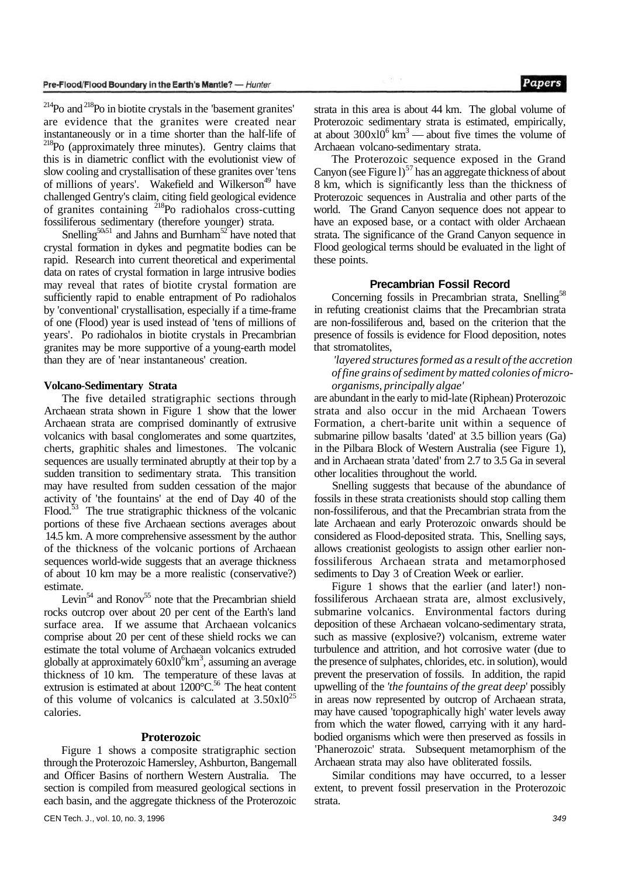$^{214}$ Po and  $^{218}$ Po in biotite crystals in the 'basement granites' are evidence that the granites were created near instantaneously or in a time shorter than the half-life of <sup>218</sup>Po (approximately three minutes). Gentry claims that this is in diametric conflict with the evolutionist view of slow cooling and crystallisation of these granites over 'tens of millions of years'. Wakefield and Wilkerson<sup>49</sup> have challenged Gentry's claim, citing field geological evidence of granites containing <sup>218</sup>Po radiohalos cross-cutting fossiliferous sedimentary (therefore younger) strata.

Snelling<sup>50,51</sup> and Jahns and Burnham<sup>52</sup> have noted that crystal formation in dykes and pegmatite bodies can be rapid. Research into current theoretical and experimental data on rates of crystal formation in large intrusive bodies may reveal that rates of biotite crystal formation are sufficiently rapid to enable entrapment of Po radiohalos by 'conventional' crystallisation, especially if a time-frame of one (Flood) year is used instead of 'tens of millions of years'. Po radiohalos in biotite crystals in Precambrian granites may be more supportive of a young-earth model than they are of 'near instantaneous' creation.

#### **Volcano-Sedimentary Strata**

The five detailed stratigraphic sections through Archaean strata shown in Figure 1 show that the lower Archaean strata are comprised dominantly of extrusive volcanics with basal conglomerates and some quartzites, cherts, graphitic shales and limestones. The volcanic sequences are usually terminated abruptly at their top by a sudden transition to sedimentary strata. This transition may have resulted from sudden cessation of the major activity of 'the fountains' at the end of Day 40 of the Flood.<sup>53</sup> The true stratigraphic thickness of the volcanic portions of these five Archaean sections averages about 14.5 km. A more comprehensive assessment by the author of the thickness of the volcanic portions of Archaean sequences world-wide suggests that an average thickness of about 10 km may be a more realistic (conservative?) estimate.

Levin<sup>54</sup> and Ronov<sup>55</sup> note that the Precambrian shield rocks outcrop over about 20 per cent of the Earth's land surface area. If we assume that Archaean volcanics comprise about 20 per cent of these shield rocks we can estimate the total volume of Archaean volcanics extruded globally at approximately  $60x10^6$ km<sup>3</sup>, assuming an average thickness of 10 km. The temperature of these lavas at extrusion is estimated at about  $1200^{\circ}$ C.<sup>56</sup> The heat content of this volume of volcanics is calculated at  $3.50x10^{25}$ calories.

#### **Proterozoic**

Figure 1 shows a composite stratigraphic section through the Proterozoic Hamersley, Ashburton, Bangemall and Officer Basins of northern Western Australia. The section is compiled from measured geological sections in each basin, and the aggregate thickness of the Proterozoic

strata in this area is about 44 km. The global volume of Proterozoic sedimentary strata is estimated, empirically, at about  $300 \times 10^6$  km<sup>3</sup> — about five times the volume of Archaean volcano-sedimentary strata.

The Proterozoic sequence exposed in the Grand Canyon (see Figure  $1$ )<sup>57</sup> has an aggregate thickness of about 8 km, which is significantly less than the thickness of Proterozoic sequences in Australia and other parts of the world. The Grand Canyon sequence does not appear to have an exposed base, or a contact with older Archaean strata. The significance of the Grand Canyon sequence in Flood geological terms should be evaluated in the light of these points.

#### **Precambrian Fossil Record**

Concerning fossils in Precambrian strata, Snelling<sup>58</sup> in refuting creationist claims that the Precambrian strata are non-fossiliferous and, based on the criterion that the presence of fossils is evidence for Flood deposition, notes that stromatolites,

*'layered structures formed as a result of the accretion of fine grains of sediment by matted colonies of microorganisms, principally algae'* 

are abundant in the early to mid-late (Riphean) Proterozoic strata and also occur in the mid Archaean Towers Formation, a chert-barite unit within a sequence of submarine pillow basalts 'dated' at 3.5 billion years (Ga) in the Pilbara Block of Western Australia (see Figure 1), and in Archaean strata 'dated' from 2.7 to 3.5 Ga in several other localities throughout the world.

Snelling suggests that because of the abundance of fossils in these strata creationists should stop calling them non-fossiliferous, and that the Precambrian strata from the late Archaean and early Proterozoic onwards should be considered as Flood-deposited strata. This, Snelling says, allows creationist geologists to assign other earlier nonfossiliferous Archaean strata and metamorphosed sediments to Day 3 of Creation Week or earlier.

Figure 1 shows that the earlier (and later!) nonfossiliferous Archaean strata are, almost exclusively, submarine volcanics. Environmental factors during deposition of these Archaean volcano-sedimentary strata, such as massive (explosive?) volcanism, extreme water turbulence and attrition, and hot corrosive water (due to the presence of sulphates, chlorides, etc. in solution), would prevent the preservation of fossils. In addition, the rapid upwelling of the *'the fountains of the great deep*' possibly in areas now represented by outcrop of Archaean strata, may have caused 'topographically high' water levels away from which the water flowed, carrying with it any hardbodied organisms which were then preserved as fossils in 'Phanerozoic' strata. Subsequent metamorphism of the Archaean strata may also have obliterated fossils.

Similar conditions may have occurred, to a lesser extent, to prevent fossil preservation in the Proterozoic strata.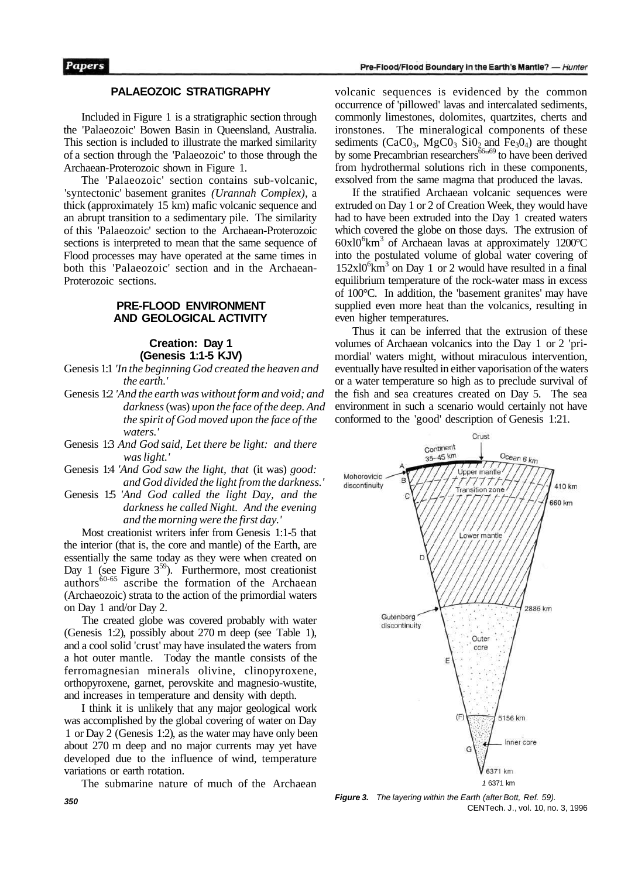#### Pre-Flood/Flood Boundary in the Earth's Mantle? - Hunter

## **PALAEOZOIC STRATIGRAPHY**

Included in Figure 1 is a stratigraphic section through the 'Palaeozoic' Bowen Basin in Queensland, Australia. This section is included to illustrate the marked similarity of a section through the 'Palaeozoic' to those through the Archaean-Proterozoic shown in Figure 1.

The 'Palaeozoic' section contains sub-volcanic, 'syntectonic' basement granites *(Urannah Complex),* a thick (approximately 15 km) mafic volcanic sequence and an abrupt transition to a sedimentary pile. The similarity of this 'Palaeozoic' section to the Archaean-Proterozoic sections is interpreted to mean that the same sequence of Flood processes may have operated at the same times in both this 'Palaeozoic' section and in the Archaean-Proterozoic sections.

## **PRE-FLOOD ENVIRONMENT AND GEOLOGICAL ACTIVITY**

## **Creation: Day 1 (Genesis 1:1-5 KJV)**

Genesis 1:1 *'In the beginning God created the heaven and the earth.'* 

- Genesis 1:2 *'And the earth was without form and void; and darkness* (was) *upon the face of the deep. And the spirit of God moved upon the face of the waters.'*
- Genesis 1:3 *And God said, Let there be light: and there was light.'*
- Genesis 1:4 *'And God saw the light, that* (it was) *good: and God divided the light from the darkness.'*
- Genesis 1:5 *'And God called the light Day, and the darkness he called Night. And the evening and the morning were the first day.'*

Most creationist writers infer from Genesis 1:1-5 that the interior (that is, the core and mantle) of the Earth, are essentially the same today as they were when created on Day 1 (see Figure  $3^{59}$ ). Furthermore, most creationist authors $60-65$  ascribe the formation of the Archaean (Archaeozoic) strata to the action of the primordial waters on Day 1 and/or Day 2.

The created globe was covered probably with water (Genesis 1:2), possibly about 270 m deep (see Table 1), and a cool solid 'crust' may have insulated the waters from a hot outer mantle. Today the mantle consists of the ferromagnesian minerals olivine, clinopyroxene, orthopyroxene, garnet, perovskite and magnesio-wustite, and increases in temperature and density with depth.

I think it is unlikely that any major geological work was accomplished by the global covering of water on Day 1 or Day 2 (Genesis 1:2), as the water may have only been about 270 m deep and no major currents may yet have developed due to the influence of wind, temperature variations or earth rotation.

The submarine nature of much of the Archaean

volcanic sequences is evidenced by the common occurrence of 'pillowed' lavas and intercalated sediments, commonly limestones, dolomites, quartzites, cherts and ironstones. The mineralogical components of these sediments (CaC $0_3$ , MgC $0_3$  Si $0_2$  and Fe<sub>3</sub> $0_4$ ) are thought by some Precambrian researchers<sup>66</sup><sup>169</sup> to have been derived from hydrothermal solutions rich in these components, exsolved from the same magma that produced the lavas.

If the stratified Archaean volcanic sequences were extruded on Day 1 or 2 of Creation Week, they would have had to have been extruded into the Day 1 created waters which covered the globe on those days. The extrusion of 60x10<sup>6</sup>km<sup>3</sup> of Archaean lavas at approximately 1200°C into the postulated volume of global water covering of  $152 \times 10^{6}$  km<sup>3</sup> on Day 1 or 2 would have resulted in a final equilibrium temperature of the rock-water mass in excess of 100°C. In addition, the 'basement granites' may have supplied even more heat than the volcanics, resulting in even higher temperatures.

Thus it can be inferred that the extrusion of these volumes of Archaean volcanics into the Day 1 or 2 'primordial' waters might, without miraculous intervention, eventually have resulted in either vaporisation of the waters or a water temperature so high as to preclude survival of the fish and sea creatures created on Day 5. The sea environment in such a scenario would certainly not have conformed to the 'good' description of Genesis 1:21.



**Figure 3.** The layering within the Earth (after Bott, Ref. 59). CENTech. J., vol. 10, no. 3, 1996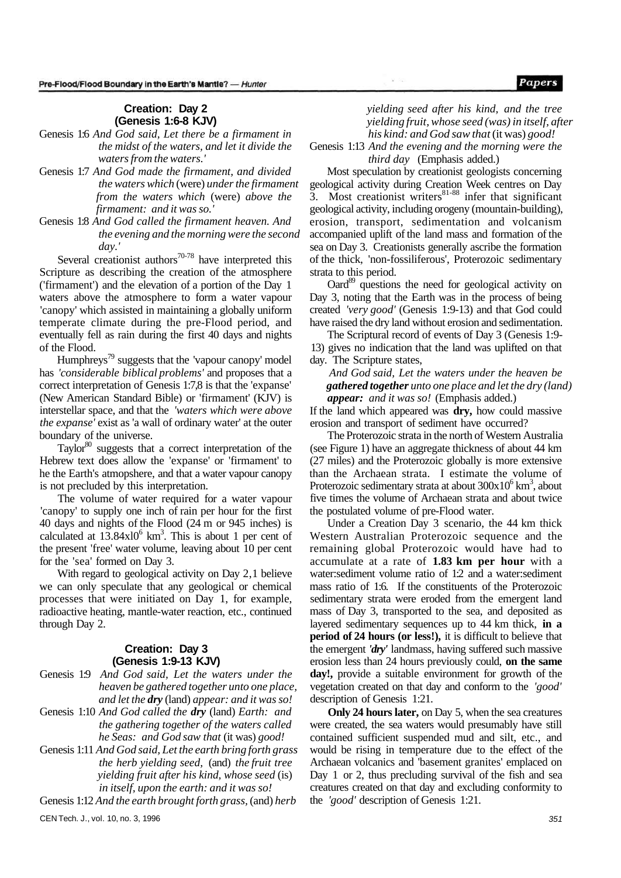## **Creation: Day 2 (Genesis 1:6-8 KJV)**

- Genesis 1:6 *And God said, Let there be a firmament in the midst of the waters, and let it divide the waters from the waters.'*
- Genesis 1:7 *And God made the firmament, and divided the waters which* (were) *under the firmament from the waters which* (were) *above the firmament: and it was so.'*
- Genesis 1:8 *And God called the firmament heaven. And the evening and the morning were the second day.'*

Several creationist authors $70-78$  have interpreted this Scripture as describing the creation of the atmosphere ('firmament') and the elevation of a portion of the Day 1 waters above the atmosphere to form a water vapour 'canopy' which assisted in maintaining a globally uniform temperate climate during the pre-Flood period, and eventually fell as rain during the first 40 days and nights of the Flood.

Humphreys<sup>79</sup> suggests that the 'vapour canopy' model has *'considerable biblical problems'* and proposes that a correct interpretation of Genesis 1:7,8 is that the 'expanse' (New American Standard Bible) or 'firmament' (KJV) is interstellar space, and that the *'waters which were above the expanse'* exist as 'a wall of ordinary water' at the outer boundary of the universe.

Taylor<sup>80</sup> suggests that a correct interpretation of the Hebrew text does allow the 'expanse' or 'firmament' to he the Earth's atmopshere, and that a water vapour canopy is not precluded by this interpretation.

The volume of water required for a water vapour 'canopy' to supply one inch of rain per hour for the first 40 days and nights of the Flood (24 m or 945 inches) is calculated at  $13.84 \times 10^6$  km<sup>3</sup>. This is about 1 per cent of the present 'free' water volume, leaving about 10 per cent for the 'sea' formed on Day 3.

With regard to geological activity on Day 2,1 believe we can only speculate that any geological or chemical processes that were initiated on Day 1, for example, radioactive heating, mantle-water reaction, etc., continued through Day 2.

## **Creation: Day 3 (Genesis 1:9-13 KJV)**

- Genesis 1:9 *And God said, Let the waters under the heaven be gathered together unto one place, and let the dry* (land) *appear: and it was so!*
- Genesis 1:10 *And God called the dry* (land) *Earth: and the gathering together of the waters called he Seas: and God saw that* (it was) *good!*
- Genesis 1:11 *And God said, Let the earth bring forth grass the herb yielding seed,* (and) *the fruit tree yielding fruit after his kind, whose seed* (is) *in itself, upon the earth: and it was so!*

Genesis 1:12 *And the earth brought forth grass,* (and) *herb* 

Papers

*yielding seed after his kind, and the tree yielding fruit, whose seed (was) in itself, after his kind: and God saw that* (it was) *good!* 

Genesis 1:13 *And the evening and the morning were the third day* (Emphasis added.)

Most speculation by creationist geologists concerning geological activity during Creation Week centres on Day 3. Most creationist writers $81-88$  infer that significant geological activity, including orogeny (mountain-building), erosion, transport, sedimentation and volcanism accompanied uplift of the land mass and formation of the sea on Day 3. Creationists generally ascribe the formation of the thick, 'non-fossiliferous', Proterozoic sedimentary strata to this period.

Oard<sup>89</sup> questions the need for geological activity on Day 3, noting that the Earth was in the process of being created *'very good'* (Genesis 1:9-13) and that God could have raised the dry land without erosion and sedimentation.

The Scriptural record of events of Day 3 (Genesis 1:9- 13) gives no indication that the land was uplifted on that day. The Scripture states,

*And God said, Let the waters under the heaven be gathered together unto one place and let the dry (land) appear: and it was so!* (Emphasis added.)

If the land which appeared was **dry,** how could massive erosion and transport of sediment have occurred?

The Proterozoic strata in the north of Western Australia (see Figure 1) have an aggregate thickness of about 44 km (27 miles) and the Proterozoic globally is more extensive than the Archaean strata. I estimate the volume of Proterozoic sedimentary strata at about 300x10<sup>6</sup> km<sup>3</sup>, about five times the volume of Archaean strata and about twice the postulated volume of pre-Flood water.

Under a Creation Day 3 scenario, the 44 km thick Western Australian Proterozoic sequence and the remaining global Proterozoic would have had to accumulate at a rate of **1.83 km per hour** with a water:sediment volume ratio of 1:2 and a water:sediment mass ratio of 1:6. If the constituents of the Proterozoic sedimentary strata were eroded from the emergent land mass of Day 3, transported to the sea, and deposited as layered sedimentary sequences up to 44 km thick, **in a period of 24 hours (or less!),** it is difficult to believe that the emergent *'dry'* landmass, having suffered such massive erosion less than 24 hours previously could, **on the same day!,** provide a suitable environment for growth of the vegetation created on that day and conform to the *'good'*  description of Genesis 1:21.

**Only 24 hours later,** on Day 5, when the sea creatures were created, the sea waters would presumably have still contained sufficient suspended mud and silt, etc., and would be rising in temperature due to the effect of the Archaean volcanics and 'basement granites' emplaced on Day 1 or 2, thus precluding survival of the fish and sea creatures created on that day and excluding conformity to the *'good'* description of Genesis 1:21.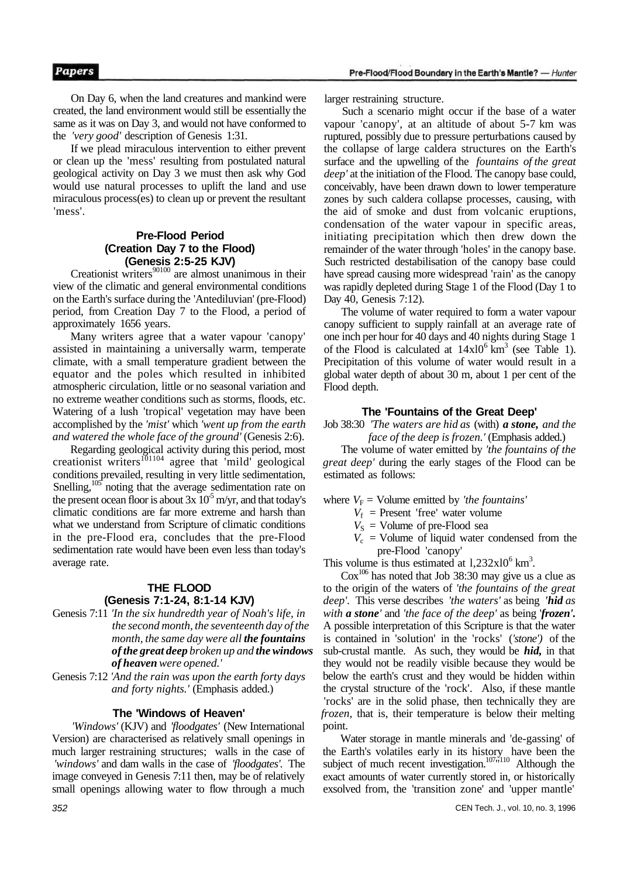On Day 6, when the land creatures and mankind were created, the land environment would still be essentially the same as it was on Day 3, and would not have conformed to the *'very good'* description of Genesis 1:31.

If we plead miraculous intervention to either prevent or clean up the 'mess' resulting from postulated natural geological activity on Day 3 we must then ask why God would use natural processes to uplift the land and use miraculous process(es) to clean up or prevent the resultant 'mess'.

## **Pre-Flood Period (Creation Day 7 to the Flood) (Genesis 2:5-25 KJV)**

Creationist writers<sup>90100</sup> are almost unanimous in their view of the climatic and general environmental conditions on the Earth's surface during the 'Antediluvian' (pre-Flood) period, from Creation Day 7 to the Flood, a period of approximately 1656 years.

Many writers agree that a water vapour 'canopy' assisted in maintaining a universally warm, temperate climate, with a small temperature gradient between the equator and the poles which resulted in inhibited atmospheric circulation, little or no seasonal variation and no extreme weather conditions such as storms, floods, etc. Watering of a lush 'tropical' vegetation may have been accomplished by the *'mist'* which *'went up from the earth and watered the whole face of the ground'* (Genesis 2:6).

Regarding geological activity during this period, most creationist writers $^{101104}$  agree that 'mild' geological conditions prevailed, resulting in very little sedimentation, Snelling,<sup>105</sup> noting that the average sedimentation rate on the present ocean floor is about  $3x\overline{10^5}$  m/yr, and that today's climatic conditions are far more extreme and harsh than what we understand from Scripture of climatic conditions in the pre-Flood era, concludes that the pre-Flood sedimentation rate would have been even less than today's average rate.

## **THE FLOOD (Genesis 7:1-24, 8:1-14 KJV)**

Genesis 7:11 *'In the six hundredth year of Noah's life, in the second month, the seventeenth day of the month, the same day were all the fountains of the great deep broken up and the windows of heaven were opened.'* 

Genesis 7:12 *'And the rain was upon the earth forty days and forty nights.'* (Emphasis added.)

## **The 'Windows of Heaven'**

*'Windows'* (KJV) and *'floodgates'* (New International Version) are characterised as relatively small openings in much larger restraining structures; walls in the case of *'windows'* and dam walls in the case of *'floodgates'.* The image conveyed in Genesis 7:11 then, may be of relatively small openings allowing water to flow through a much larger restraining structure.

Such a scenario might occur if the base of a water vapour 'canopy', at an altitude of about 5-7 km was ruptured, possibly due to pressure perturbations caused by the collapse of large caldera structures on the Earth's surface and the upwelling of the *fountains of the great deep'* at the initiation of the Flood. The canopy base could, conceivably, have been drawn down to lower temperature zones by such caldera collapse processes, causing, with the aid of smoke and dust from volcanic eruptions, condensation of the water vapour in specific areas, initiating precipitation which then drew down the remainder of the water through 'holes' in the canopy base. Such restricted destabilisation of the canopy base could have spread causing more widespread 'rain' as the canopy was rapidly depleted during Stage 1 of the Flood (Day 1 to Day 40, Genesis 7:12).

The volume of water required to form a water vapour canopy sufficient to supply rainfall at an average rate of one inch per hour for 40 days and 40 nights during Stage 1 of the Flood is calculated at  $14x10^6$  km<sup>3</sup> (see Table 1). Precipitation of this volume of water would result in a global water depth of about 30 m, about 1 per cent of the Flood depth.

## **The 'Fountains of the Great Deep'**

Job 38:30 *'The waters are hid as* (with) *a stone, and the face of the deep is frozen.'* (Emphasis added.)

The volume of water emitted by *'the fountains of the great deep'* during the early stages of the Flood can be estimated as follows:

- where  $V_F$  = Volume emitted by *'the fountains'* 
	- $V_f$  = Present 'free' water volume
	- $V<sub>S</sub>$  = Volume of pre-Flood sea
	- $V_c$  = Volume of liquid water condensed from the pre-Flood 'canopy'

This volume is thus estimated at  $1,232 \times 10^6$  km<sup>3</sup>.

 $\text{Cox}^{106}$  has noted that Job 38:30 may give us a clue as to the origin of the waters of *'the fountains of the great deep'.* This verse describes *'the waters'* as being *'hid as with a stone'* and *'the face of the deep'* as being '*frozen'.*  A possible interpretation of this Scripture is that the water is contained in 'solution' in the 'rocks' (*'stone')* of the sub-crustal mantle. As such, they would be *hid,* in that they would not be readily visible because they would be below the earth's crust and they would be hidden within the crystal structure of the 'rock'. Also, if these mantle 'rocks' are in the solid phase, then technically they are *frozen,* that is, their temperature is below their melting point.

Water storage in mantle minerals and 'de-gassing' of the Earth's volatiles early in its history have been the subject of much recent investigation.<sup>107</sup> $n^{10}$  Although the exact amounts of water currently stored in, or historically exsolved from, the 'transition zone' and 'upper mantle'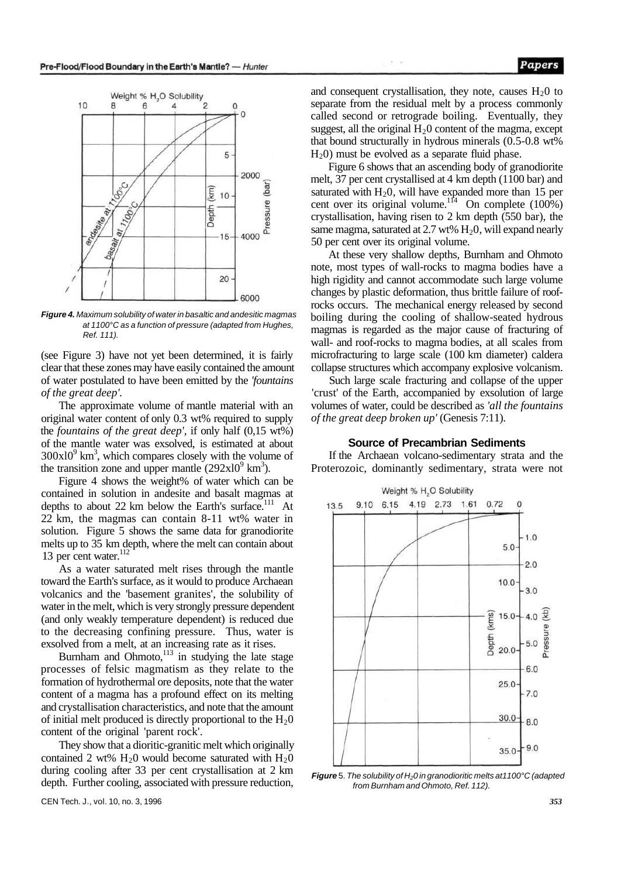

**Figure 4.** Maximum solubility of water in basaltic and andesitic magmas at 1100°C as a function of pressure (adapted from Hughes, Ref. 111).

(see Figure 3) have not yet been determined, it is fairly clear that these zones may have easily contained the amount of water postulated to have been emitted by the *'fountains of the great deep'.* 

The approximate volume of mantle material with an original water content of only 0.3 wt% required to supply the *fountains of the great deep',* if only half (0,15 wt%) of the mantle water was exsolved, is estimated at about  $300x10<sup>9</sup>$  km<sup>3</sup>, which compares closely with the volume of the transition zone and upper mantle  $(292x10^9 \text{ km}^3)$ .

Figure 4 shows the weight% of water which can be contained in solution in andesite and basalt magmas at depths to about 22 km below the Earth's surface.<sup>111</sup> At 22 km, the magmas can contain 8-11 wt% water in solution. Figure 5 shows the same data for granodiorite melts up to 35 km depth, where the melt can contain about 13 per cent water. $^{112}$ 

As a water saturated melt rises through the mantle toward the Earth's surface, as it would to produce Archaean volcanics and the 'basement granites', the solubility of water in the melt, which is very strongly pressure dependent (and only weakly temperature dependent) is reduced due to the decreasing confining pressure. Thus, water is exsolved from a melt, at an increasing rate as it rises.

Burnham and Ohmoto, $113$  in studying the late stage processes of felsic magmatism as they relate to the formation of hydrothermal ore deposits, note that the water content of a magma has a profound effect on its melting and crystallisation characteristics, and note that the amount of initial melt produced is directly proportional to the  $H<sub>2</sub>0$ content of the original 'parent rock'.

They show that a dioritic-granitic melt which originally contained 2 wt%  $H<sub>2</sub>0$  would become saturated with  $H<sub>2</sub>0$ during cooling after 33 per cent crystallisation at 2 km depth. Further cooling, associated with pressure reduction,

and consequent crystallisation, they note, causes  $H<sub>2</sub>0$  to separate from the residual melt by a process commonly called second or retrograde boiling. Eventually, they suggest, all the original  $H<sub>2</sub>0$  content of the magma, except that bound structurally in hydrous minerals (0.5-0.8 wt%  $H<sub>2</sub>(0)$  must be evolved as a separate fluid phase.

Figure 6 shows that an ascending body of granodiorite melt, 37 per cent crystallised at 4 km depth (1100 bar) and saturated with  $H_2$ 0, will have expanded more than 15 per cent over its original volume.<sup>114</sup> On complete  $(100\%)$ crystallisation, having risen to 2 km depth (550 bar), the same magma, saturated at 2.7 wt%  $H_2O$ , will expand nearly 50 per cent over its original volume.

At these very shallow depths, Burnham and Ohmoto note, most types of wall-rocks to magma bodies have a high rigidity and cannot accommodate such large volume changes by plastic deformation, thus brittle failure of roofrocks occurs. The mechanical energy released by second boiling during the cooling of shallow-seated hydrous magmas is regarded as the major cause of fracturing of wall- and roof-rocks to magma bodies, at all scales from microfracturing to large scale (100 km diameter) caldera collapse structures which accompany explosive volcanism.

Such large scale fracturing and collapse of the upper 'crust' of the Earth, accompanied by exsolution of large volumes of water, could be described as *'all the fountains of the great deep broken up'* (Genesis 7:11).

#### **Source of Precambrian Sediments**

If the Archaean volcano-sedimentary strata and the Proterozoic, dominantly sedimentary, strata were not



**Figure** 5. The solubility of H<sub>2</sub>0 in granodioritic melts at 1100°C (adapted from Burnham and Ohmoto, Ref. 112).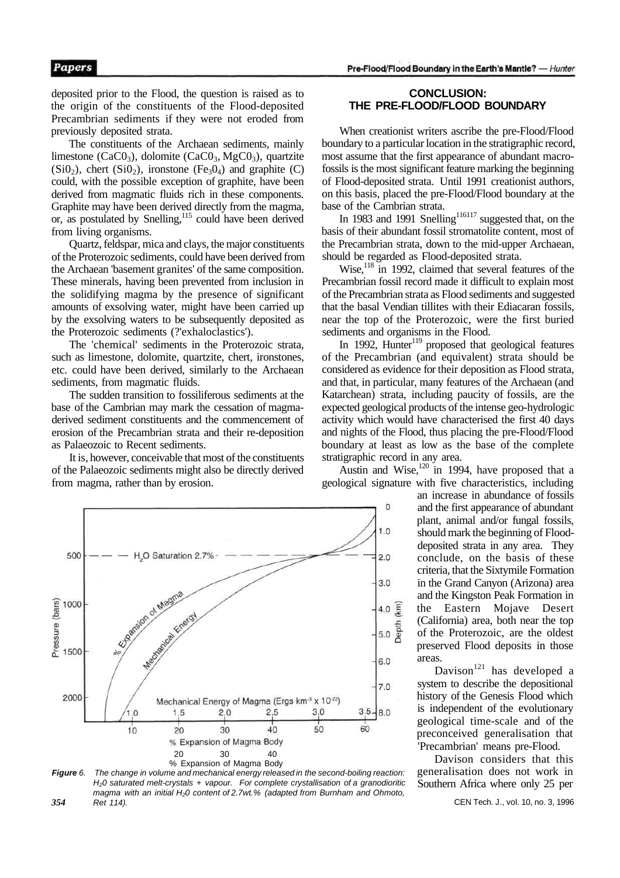deposited prior to the Flood, the question is raised as to the origin of the constituents of the Flood-deposited Precambrian sediments if they were not eroded from previously deposited strata.

The constituents of the Archaean sediments, mainly limestone (CaC $0_3$ ), dolomite (CaC $0_3$ , MgC $0_3$ ), quartzite  $(Si0<sub>2</sub>)$ , chert  $(Si0<sub>2</sub>)$ , ironstone  $(Fe<sub>3</sub>0<sub>4</sub>)$  and graphite  $(C)$ could, with the possible exception of graphite, have been derived from magmatic fluids rich in these components. Graphite may have been derived directly from the magma, or, as postulated by Snelling,<sup>115</sup> could have been derived from living organisms.

Quartz, feldspar, mica and clays, the major constituents of the Proterozoic sediments, could have been derived from the Archaean 'basement granites' of the same composition. These minerals, having been prevented from inclusion in the solidifying magma by the presence of significant amounts of exsolving water, might have been carried up by the exsolving waters to be subsequently deposited as the Proterozoic sediments (?'exhaloclastics').

The 'chemical' sediments in the Proterozoic strata, such as limestone, dolomite, quartzite, chert, ironstones, etc. could have been derived, similarly to the Archaean sediments, from magmatic fluids.

The sudden transition to fossiliferous sediments at the base of the Cambrian may mark the cessation of magmaderived sediment constituents and the commencement of erosion of the Precambrian strata and their re-deposition as Palaeozoic to Recent sediments.

It is, however, conceivable that most of the constituents of the Palaeozoic sediments might also be directly derived from magma, rather than by erosion.



When creationist writers ascribe the pre-Flood/Flood boundary to a particular location in the stratigraphic record, most assume that the first appearance of abundant macrofossils is the most significant feature marking the beginning of Flood-deposited strata. Until 1991 creationist authors, on this basis, placed the pre-Flood/Flood boundary at the base of the Cambrian strata.

In 1983 and 1991 Snelling<sup>116117</sup> suggested that, on the basis of their abundant fossil stromatolite content, most of the Precambrian strata, down to the mid-upper Archaean, should be regarded as Flood-deposited strata.

Wise,<sup>118</sup> in 1992, claimed that several features of the Precambrian fossil record made it difficult to explain most of the Precambrian strata as Flood sediments and suggested that the basal Vendian tillites with their Ediacaran fossils, near the top of the Proterozoic, were the first buried sediments and organisms in the Flood.

In 1992, Hunter $119$  proposed that geological features of the Precambrian (and equivalent) strata should be considered as evidence for their deposition as Flood strata, and that, in particular, many features of the Archaean (and Katarchean) strata, including paucity of fossils, are the expected geological products of the intense geo-hydrologic activity which would have characterised the first 40 days and nights of the Flood, thus placing the pre-Flood/Flood boundary at least as low as the base of the complete stratigraphic record in any area.

Austin and Wise, $120$  in 1994, have proposed that a geological signature with five characteristics, including





an increase in abundance of fossils and the first appearance of abundant plant, animal and/or fungal fossils, should mark the beginning of Flooddeposited strata in any area. They conclude, on the basis of these criteria, that the Sixtymile Formation in the Grand Canyon (Arizona) area and the Kingston Peak Formation in the Eastern Mojave Desert (California) area, both near the top of the Proterozoic, are the oldest preserved Flood deposits in those areas.

Davison<sup>121</sup> has developed a system to describe the depositional history of the Genesis Flood which is independent of the evolutionary geological time-scale and of the preconceived generalisation that 'Precambrian' means pre-Flood.

Davison considers that this generalisation does not work in Southern Africa where only 25 per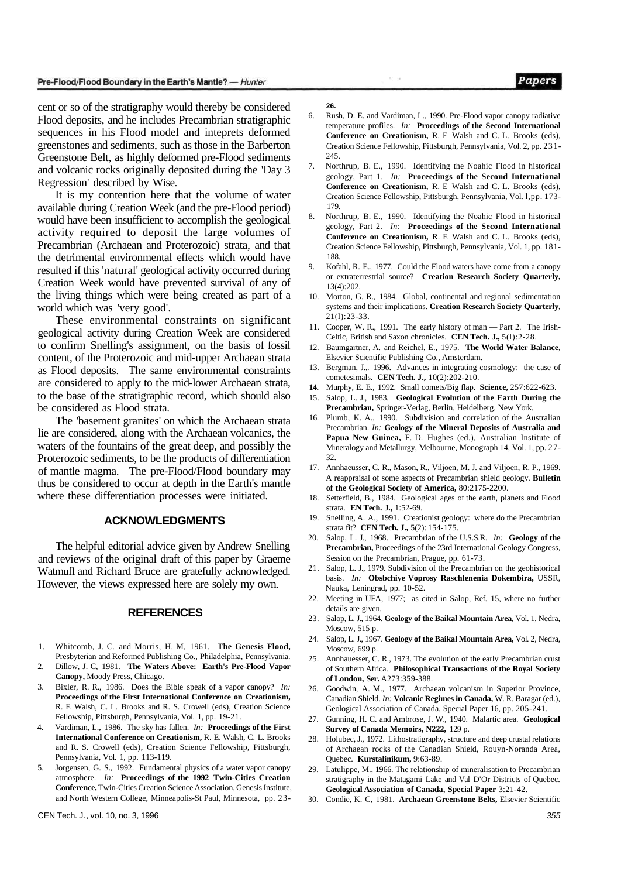cent or so of the stratigraphy would thereby be considered Flood deposits, and he includes Precambrian stratigraphic sequences in his Flood model and inteprets deformed greenstones and sediments, such as those in the Barberton Greenstone Belt, as highly deformed pre-Flood sediments and volcanic rocks originally deposited during the 'Day 3 Regression' described by Wise.

It is my contention here that the volume of water available during Creation Week (and the pre-Flood period) would have been insufficient to accomplish the geological activity required to deposit the large volumes of Precambrian (Archaean and Proterozoic) strata, and that the detrimental environmental effects which would have resulted if this 'natural' geological activity occurred during Creation Week would have prevented survival of any of the living things which were being created as part of a world which was 'very good'.

These environmental constraints on significant geological activity during Creation Week are considered to confirm Snelling's assignment, on the basis of fossil content, of the Proterozoic and mid-upper Archaean strata as Flood deposits. The same environmental constraints are considered to apply to the mid-lower Archaean strata, to the base of the stratigraphic record, which should also be considered as Flood strata.

The 'basement granites' on which the Archaean strata lie are considered, along with the Archaean volcanics, the waters of the fountains of the great deep, and possibly the Proterozoic sediments, to be the products of differentiation of mantle magma. The pre-Flood/Flood boundary may thus be considered to occur at depth in the Earth's mantle where these differentiation processes were initiated.

#### **ACKNOWLEDGMENTS**

The helpful editorial advice given by Andrew Snelling and reviews of the original draft of this paper by Graeme Watmuff and Richard Bruce are gratefully acknowledged. However, the views expressed here are solely my own.

## **REFERENCES**

- 1. Whitcomb, J. C. and Morris, H. M, 1961. **The Genesis Flood,**  Presbyterian and Reformed Publishing Co., Philadelphia, Pennsylvania.
- 2. Dillow, J. C, 1981. **The Waters Above: Earth's Pre-Flood Vapor Canopy,** Moody Press, Chicago.
- 3. Bixler, R. R., 1986. Does the Bible speak of a vapor canopy? *In:*  **Proceedings of the First International Conference on Creationism,**  R. E Walsh, C. L. Brooks and R. S. Crowell (eds), Creation Science Fellowship, Pittsburgh, Pennsylvania, Vol. 1, pp. 19-21.
- 4. Vardiman, L., 1986. The sky has fallen. *In:* **Proceedings of the First International Conference on Creationism,** R. E. Walsh, C. L. Brooks and R. S. Crowell (eds), Creation Science Fellowship, Pittsburgh, Pennsylvania, Vol. 1, pp. 113-119.
- 5. Jorgensen, G. S., 1992. Fundamental physics of a water vapor canopy atmosphere. *In:* **Proceedings of the 1992 Twin-Cities Creation Conference,** Twin-Cities Creation Science Association, Genesis Institute, and North Western College, Minneapolis-St Paul, Minnesota, pp. 23-

#### **26.**

6. Rush, D. E. and Vardiman, L., 1990. Pre-Flood vapor canopy radiative temperature profiles. *In:* **Proceedings of the Second International Conference on Creationism,** R. E Walsh and C. L. Brooks (eds), Creation Science Fellowship, Pittsburgh, Pennsylvania, Vol. 2, pp. 231- 245.

97.02

- 7. Northrup, B. E., 1990. Identifying the Noahic Flood in historical geology, Part 1. *In:* **Proceedings of the Second International Conference on Creationism,** R. E Walsh and C. L. Brooks (eds), Creation Science Fellowship, Pittsburgh, Pennsylvania, Vol. l,pp. 173- 179.
- 8. Northrup, B. E., 1990. Identifying the Noahic Flood in historical geology, Part 2. *In:* **Proceedings of the Second International Conference on Creationism,** R. E Walsh and C. L. Brooks (eds), Creation Science Fellowship, Pittsburgh, Pennsylvania, Vol. 1, pp. 181- 188.
- 9. Kofahl, R. E., 1977. Could the Flood waters have come from a canopy or extraterrestrial source? **Creation Research Society Quarterly,**  13(4):202.
- 10. Morton, G. R., 1984. Global, continental and regional sedimentation systems and their implications. **Creation Research Society Quarterly,**  21(l):23-33.
- 11. Cooper, W. R., 1991. The early history of man Part 2. The Irish-Celtic, British and Saxon chronicles. **CEN Tech. J.,** 5(l):2-28.
- 12. Baumgartner, A. and Reichel, E., 1975. **The World Water Balance,**  Elsevier Scientific Publishing Co., Amsterdam.
- 13. Bergman, J.,. 1996. Advances in integrating cosmology: the case of cometesimals. **CEN Tech. J.,** 10(2):202-210.
- **14.** Murphy, E. E., 1992. Small comets/Big flap. **Science,** 257:622-623.
- 15. Salop, L. J., 1983. **Geological Evolution of the Earth During the Precambrian,** Springer-Verlag, Berlin, Heidelberg, New York.
- 16. Plumb, K. A., 1990. Subdivision and correlation of the Australian Precambrian. *In:* **Geology of the Mineral Deposits of Australia and Papua New Guinea,** F. D. Hughes (ed.), Australian Institute of Mineralogy and Metallurgy, Melbourne, Monograph 14, Vol. 1, pp. 27- 32.
- 17. Annhaeusser, C. R., Mason, R., Viljoen, M. J. and Viljoen, R. P., 1969. A reappraisal of some aspects of Precambrian shield geology. **Bulletin of the Geological Society of America,** 80:2175-2200.
- 18. Setterfield, B., 1984. Geological ages of the earth, planets and Flood strata. **EN Tech. J.,** 1:52-69.
- 19. Snelling, A. A., 1991. Creationist geology: where do the Precambrian strata fit? **CEN Tech. J.,** 5(2): 154-175.
- 20. Salop, L. J., 1968. Precambrian of the U.S.S.R. *In:* **Geology of the Precambrian,** Proceedings of the 23rd International Geology Congress, Session on the Precambrian, Prague, pp. 61-73.
- 21. Salop, L. J., 1979. Subdivision of the Precambrian on the geohistorical basis. *In:* **Obsbchiye Voprosy Raschlenenia Dokembira,** USSR, Nauka, Leningrad, pp. 10-52.
- 22. Meeting in UFA, 1977; as cited in Salop, Ref. 15, where no further details are given.
- 23. Salop, L. J., 1964. **Geology of the Baikal Mountain Area,** Vol. 1, Nedra, Moscow, 515 p.
- 24. Salop, L. J., 1967. **Geology of the Baikal Mountain Area,** Vol. 2, Nedra, Moscow, 699 p.
- 25. Annhauesser, C. R., 1973. The evolution of the early Precambrian crust of Southern Africa. **Philosophical Transactions of the Royal Society of London, Ser.** A273:359-388.
- 26. Goodwin, A. M., 1977. Archaean volcanism in Superior Province, Canadian Shield. *In:* **Volcanic Regimes in Canada,** W. R. Baragar (ed.), Geological Association of Canada, Special Paper 16, pp. 205-241.
- 27. Gunning, H. C. and Ambrose, J. W., 1940. Malartic area. **Geological Survey of Canada Memoirs, N222,** 129 p.
- 28. Holubec, J., 1972. Lithostratigraphy, structure and deep crustal relations of Archaean rocks of the Canadian Shield, Rouyn-Noranda Area, Quebec. **Kurstalinikum,** 9:63-89.
- Latulippe, M., 1966. The relationship of mineralisation to Precambrian stratigraphy in the Matagami Lake and Val D'Or Districts of Quebec. **Geological Association of Canada, Special Paper** 3:21-42.
- 30. Condie, K. C, 1981. **Archaean Greenstone Belts,** Elsevier Scientific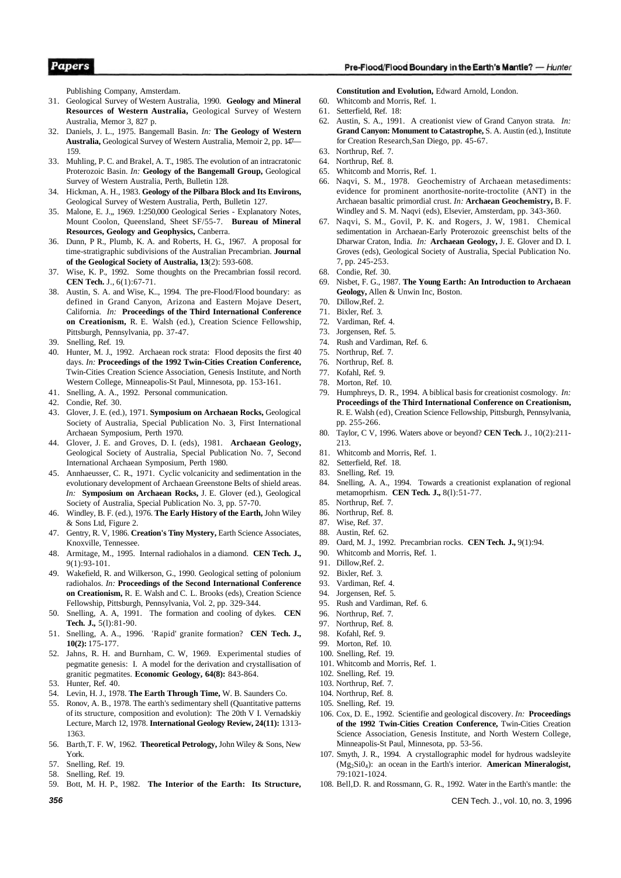#### Pre-Flood/Flood Boundary in the Earth's Mantle? - Hunter

Publishing Company, Amsterdam.

- 31. Geological Survey of Western Australia, 1990. **Geology and Mineral Resources of Western Australia,** Geological Survey of Western Australia, Memor 3, 827 p.
- 32. Daniels, J. L., 1975. Bangemall Basin. *In:* **The Geology of Western Australia,** Geological Survey of Western Australia, Memoir 2, pp. 147— 159.
- 33. Muhling, P. C. and Brakel, A. T., 1985. The evolution of an intracratonic Proterozoic Basin. *In:* **Geology of the Bangemall Group,** Geological Survey of Western Australia, Perth, Bulletin 128.
- 34. Hickman, A. H., 1983. **Geology of the Pilbara Block and Its Environs,**  Geological Survey of Western Australia, Perth, Bulletin 127.
- 35. Malone, E. J.,, 1969. 1:250,000 Geological Series Explanatory Notes, Mount Coolon, Queensland, Sheet SF/55-7. **Bureau of Mineral Resources, Geology and Geophysics,** Canberra.
- 36. Dunn, P R., Plumb, K. A. and Roberts, H. G., 1967. A proposal for time-stratigraphic subdivisions of the Australian Precambrian. **Journal of the Geological Society of Australia, 13**(2): 593-608.
- Wise, K. P., 1992. Some thoughts on the Precambrian fossil record. **CEN Tech.** J., 6(1):67-71.
- 38. Austin, S. A. and Wise, K.., 1994. The pre-Flood/Flood boundary: as defined in Grand Canyon, Arizona and Eastern Mojave Desert, California. *In:* **Proceedings of the Third International Conference on Creationism,** R. E. Walsh (ed.), Creation Science Fellowship, Pittsburgh, Pennsylvania, pp. 37-47.
- 39. Snelling, Ref. 19.
- 40. Hunter, M. J., 1992. Archaean rock strata: Flood deposits the first 40 days. *In:* **Proceedings of the 1992 Twin-Cities Creation Conference,**  Twin-Cities Creation Science Association, Genesis Institute, and North Western College, Minneapolis-St Paul, Minnesota, pp. 153-161.
- 41. Snelling, A. A., 1992. Personal communication.
- 42. Condie, Ref. 30.
- 43. Glover, J. E. (ed.), 1971. **Symposium on Archaean Rocks,** Geological Society of Australia, Special Publication No. 3, First International Archaean Symposium, Perth 1970.
- 44. Glover, J. E. and Groves, D. I. (eds), 1981. **Archaean Geology,**  Geological Society of Australia, Special Publication No. 7, Second International Archaean Symposium, Perth 1980.
- 45. Annhaeusser, C. R., 1971. Cyclic volcanicity and sedimentation in the evolutionary development of Archaean Greenstone Belts of shield areas. *In:* **Symposium on Archaean Rocks,** J. E. Glover (ed.), Geological Society of Australia, Special Publication No. 3, pp. 57-70.
- 46. Windley, B. F. (ed.), 1976. **The Early History of the Earth,** John Wiley & Sons Ltd, Figure 2.
- 47. Gentry, R. V, 1986. **Creation's Tiny Mystery,** Earth Science Associates, Knoxville, Tennessee.
- 48. Armitage, M., 1995. Internal radiohalos in a diamond. **CEN Tech. J.,**  9(1):93-101.
- 49. Wakefield, R. and Wilkerson, G., 1990. Geological setting of polonium radiohalos. *In:* **Proceedings of the Second International Conference on Creationism,** R. E. Walsh and C. L. Brooks (eds), Creation Science Fellowship, Pittsburgh, Pennsylvania, Vol. 2, pp. 329-344.
- 50. Snelling, A. A, 1991. The formation and cooling of dykes. **CEN Tech. J.,** 5(l):81-90.
- 51. Snelling, A. A., 1996. 'Rapid' granite formation? **CEN Tech. J., 10(2):** 175-177.
- 52. Jahns, R. H. and Burnham, C. W, 1969. Experimental studies of pegmatite genesis: I. A model for the derivation and crystallisation of granitic pegmatites. **Economic Geology, 64(8):** 843-864.
- 53. Hunter, Ref. 40.
- 54. Levin, H. J., 1978. **The Earth Through Time,** W. B. Saunders Co.
- 55. Ronov, A. B., 1978. The earth's sedimentary shell (Quantitative patterns of its structure, composition and evolution): The 20th V I. Vernadskiy Lecture, March 12, 1978. **International Geology Review, 24(11):** 1313- 1363.
- 56. Barth,T. F. W, 1962. **Theoretical Petrology,** John Wiley & Sons, New York.
- 57. Snelling, Ref. 19.
- 58. Snelling, Ref. 19.
- 59. Bott, M. H. P., 1982. **The Interior of the Earth: Its Structure,**

**Constitution and Evolution,** Edward Arnold, London.

- 60. Whitcomb and Morris, Ref. 1.
- 61. Setterfield, Ref. 18:
- 62. Austin, S. A., 1991. A creationist view of Grand Canyon strata. *In:*  **Grand Canyon: Monument to Catastrophe,** S. A. Austin (ed.), Institute for Creation Research,San Diego, pp. 45-67.
- 63. Northrup, Ref. 7.
- 64. Northrup, Ref. 8.
- 65. Whitcomb and Morris, Ref. 1.
- 66. Naqvi, S. M., 1978. Geochemistry of Archaean metasediments: evidence for prominent anorthosite-norite-troctolite (ANT) in the Archaean basaltic primordial crust. *In:* **Archaean Geochemistry,** B. F. Windley and S. M. Naqvi (eds), Elsevier, Amsterdam, pp. 343-360.
- 67. Naqvi, S. M., Govil, P. K. and Rogers, J. W, 1981. Chemical sedimentation in Archaean-Early Proterozoic greenschist belts of the Dharwar Craton, India. *In:* **Archaean Geology,** J. E. Glover and D. I. Groves (eds), Geological Society of Australia, Special Publication No. 7, pp. 245-253.
- 68. Condie, Ref. 30.
- 69. Nisbet, F. G., 1987. **The Young Earth: An Introduction to Archaean Geology,** Allen & Unwin Inc, Boston.
- 70. Dillow,Ref. 2.
- 71. Bixler, Ref. 3.
- 72. Vardiman, Ref. 4.
- 73. Jorgensen, Ref. 5.
- 74. Rush and Vardiman, Ref. 6.
- 75. Northrup, Ref. 7.
- 76. Northrup, Ref. 8.
- 77. Kofahl, Ref. 9.
- 78. Morton, Ref. 10.
- 79. Humphreys, D. R., 1994. A biblical basis for creationist cosmology. *In:*  **Proceedings of the Third International Conference on Creationism,**  R. E. Walsh (ed), Creation Science Fellowship, Pittsburgh, Pennsylvania, pp. 255-266.
- 80. Taylor, C V, 1996. Waters above or beyond? **CEN Tech.** J., 10(2):211- 213.
- 81. Whitcomb and Morris, Ref. 1.
- 82. Setterfield, Ref. 18.
- 83. Snelling, Ref. 19.
- 84. Snelling, A. A., 1994. Towards a creationist explanation of regional metamoprhism. **CEN Tech. J.,** 8(l):51-77.
- 85. Northrup, Ref. 7.
- 86. Northrup, Ref. 8.
- 87. Wise, Ref. 37.
- 88. Austin, Ref. 62.
- 89. Oard, M. J., 1992. Precambrian rocks. **CEN Tech. J.,** 9(1):94.
- 90. Whitcomb and Morris, Ref. 1.
- 91. Dillow Ref. 2.
- 92. Bixler, Ref. 3.
- 93. Vardiman, Ref. 4.
- 94. Jorgensen, Ref. 5.
- 95. Rush and Vardiman, Ref. 6.
- 96. Northrup, Ref. 7.
- 97. Northrup, Ref. 8.
- 98. Kofahl, Ref. 9.
- 99. Morton, Ref. 10.
- 100. Snelling, Ref. 19.
- 101. Whitcomb and Morris, Ref. 1.
- 102. Snelling, Ref. 19.
- 103. Northrup, Ref. 7.
- 104. Northrup, Ref. 8.
- 105. Snelling, Ref. 19.
- 106. Cox, D. E., 1992. Scientifie and geological discovery. *In:* **Proceedings of the 1992 Twin-Cities Creation Conference,** Twin-Cities Creation Science Association, Genesis Institute, and North Western College, Minneapolis-St Paul, Minnesota, pp. 53-56.
- 107. Smyth, J. R., 1994. A crystallographic model for hydrous wadsleyite (Mg2Si04): an ocean in the Earth's interior. **American Mineralogist,**  79:1021-1024.
- 108. Bell,D. R. and Rossmann, G. R., 1992. Water in the Earth's mantle: the

**356** CEN Tech. J., vol. 10, no. 3, 1996